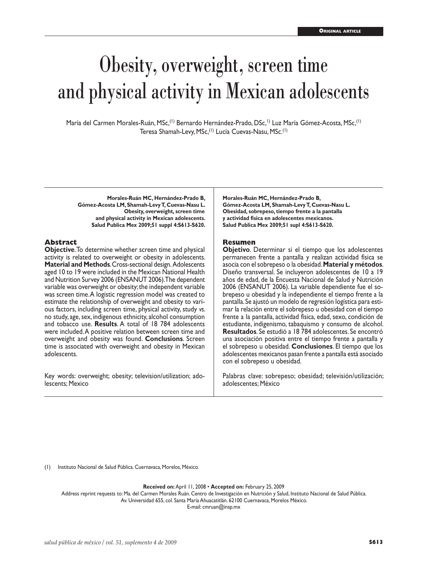# Obesity, overweight, screen time and physical activity in Mexican adolescents

María del Carmen Morales-Ruán, MSc,<sup>(1)</sup> Bernardo Hernández-Prado, DSc,<sup>1)</sup> Luz María Gómez-Acosta, MSc,<sup>(1)</sup> Teresa Shamah-Levy, MSc,<sup>(1)</sup> Lucía Cuevas-Nasu, MSc.<sup>(1)</sup>

**Morales-Ruán MC, Hernández-Prado B, Gómez-Acosta LM, Shamah-Levy T, Cuevas-Nasu L. Obesity, overweight, screen time and physical activity in Mexican adolescents. Salud Publica Mex 2009;51 suppl 4:S613-S620.**

#### **Abstract**

**Objective**. To determine whether screen time and physical activity is related to overweight or obesity in adolescents. **Material and Methods**. Cross-sectional design. Adolescents aged 10 to 19 were included in the Mexican National Health and Nutrition Survey 2006 (ENSANUT 2006). The dependent variable was overweight or obesity; the independent variable was screen time. A logistic regression model was created to estimate the relationship of overweight and obesity to vari ous factors, including screen time, physical activity, study *vs*. no study, age, sex, indigenous ethnicity, alcohol consumption and tobacco use. **Results**. A total of 18 784 adolescents were included. A positive relation between screen time and overweight and obesity was found. **Conclusions**. Screen time is associated with overweight and obesity in Mexican adolescents.

Key words: overweight; obesity; television/utilization; adolescents; Mexico

**Morales-Ruán MC, Hernández-Prado B, Gómez-Acosta LM, Shamah-Levy T, Cuevas-Nasu L. Obesidad, sobrepeso, tiempo frente a la pantalla y actividad física en adolescentes mexicanos. Salud Publica Mex 2009;51 supl 4:S613-S620.**

#### **Resumen**

**Objetivo**. Determinar si el tiempo que los adolescentes permanecen frente a pantalla y realizan actividad física se asocia con el sobrepeso o la obesidad. **Material y métodos**. Diseño transversal. Se incluyeron adolescentes de 10 a 19 años de edad, de la Encuesta Nacional de Salud y Nutrición 2006 (ENSANUT 2006). La variable dependiente fue el so brepeso u obesidad y la independiente el tiempo frente a la pantalla. Se ajustó un modelo de regresión logística para esti mar la relación entre el sobrepeso u obesidad con el tiempo frente a la pantalla, actividad física, edad, sexo, condición de estudiante, indigenismo, tabaquismo y consumo de alcohol. **Resultados**. Se estudió a 18 784 adolescentes. Se encontró una asociación positiva entre el tiempo frente a pantalla y el sobrepeso u obesidad. **Conclusiones**. El tiempo que los adolescentes mexicanos pasan frente a pantalla está asociado con el sobrepeso u obesidad.

Palabras clave: sobrepeso; obesidad; televisión/utilización; adolescentes; México

(1) Instituto Nacional de Salud Pública. Cuernavaca, Morelos, México.

**Received on:** April 11, 2008 • **Accepted on:** February 25, 2009

Address reprint requests to: Ma. del Carmen Morales Ruán. Centro de Investigación en Nutrición y Salud, Instituto Nacional de Salud Pública. Av. Universidad 655, col. Santa María Ahuacatitlán. 62100 Cuernavaca, Morelos México.

E-mail: cmruan@insp.mx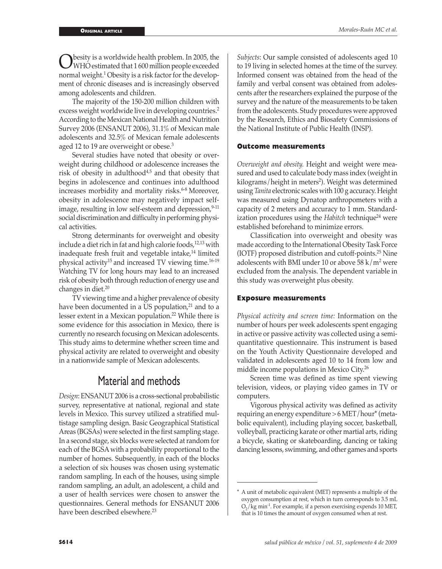Obesity is a worldwide health problem. In 2005, the<br>WHO estimated that 1 600 million people exceeded<br>normal weight 1 Obesity is a right factor for the develop normal weight.<sup>1</sup> Obesity is a risk factor for the development of chronic diseases and is increasingly observed among adolescents and children.

The majority of the 150-200 million children with excess weight worldwide live in developing countries.<sup>2</sup> According to the Mexican National Health and Nutrition Survey 2006 (ENSANUT 2006), 31.1% of Mexican male adolescents and 32.5% of Mexican female adolescents aged 12 to 19 are overweight or obese.<sup>3</sup>

Several studies have noted that obesity or overweight during childhood or adolescence increases the risk of obesity in adulthood $4,5$  and that obesity that begins in adolescence and continues into adulthood increases morbidity and mortality risks.<sup>6-8</sup> Moreover, obesity in adolescence may negatively impact selfimage, resulting in low self-esteem and depression, $9-11$ social discrimination and difficulty in performing physical activities.

Strong determinants for overweight and obesity include a diet rich in fat and high calorie foods,<sup>12,13</sup> with inadequate fresh fruit and vegetable intake,<sup>14</sup> limited physical activity15 and increased TV viewing time.16-19 Watching TV for long hours may lead to an increased risk of obesity both through reduction of energy use and changes in diet.20

TV viewing time and a higher prevalence of obesity have been documented in a US population, $21$  and to a lesser extent in a Mexican population.22 While there is some evidence for this association in Mexico, there is currently no research focusing on Mexican adolescents. This study aims to determine whether screen time and physical activity are related to overweight and obesity in a nationwide sample of Mexican adolescents.

# Material and methods

*Design*: ENSANUT 2006 is a cross-sectional probabilistic survey, representative at national, regional and state levels in Mexico. This survey utilized a stratified multistage sampling design. Basic Geographical Statistical Areas (BGSAs) were selected in the first sampling stage. In a second stage, six blocks were selected at random for each of the BGSA with a probability proportional to the number of homes. Subsequently, in each of the blocks a selection of six houses was chosen using systematic random sampling. In each of the houses, using simple random sampling, an adult, an adolescent, a child and a user of health services were chosen to answer the questionnaires. General methods for ENSANUT 2006 have been described elsewhere.<sup>23</sup>

*Subjects*: Our sample consisted of adolescents aged 10 to 19 living in selected homes at the time of the survey. Informed consent was obtained from the head of the family and verbal consent was obtained from adolescents after the researchers explained the purpose of the survey and the nature of the measurements to be taken from the adolescents. Study procedures were approved by the Research, Ethics and Biosafety Commissions of the National Institute of Public Health (INSP).

### **Outcome measurements**

*Overweight and obesity.* Height and weight were measured and used to calculate body mass index (weight in kilograms/height in meters<sup>2</sup>). Weight was determined using *Tanita* electronic scales with 100 g accuracy. Height was measured using Dynatop anthropometers with a capacity of 2 meters and accuracy to 1 mm. Standardization procedures using the *Habitch* technique<sup>24</sup> were established beforehand to minimize errors.

Classification into overweight and obesity was made according to the International Obesity Task Force (IOTF) proposed distribution and cutoff-points.25 Nine adolescents with BMI under 10 or above  $58 \text{ k/m}^2$  were excluded from the analysis. The dependent variable in this study was overweight plus obesity.

#### **Exposure measurements**

*Physical activity and screen time:* Information on the number of hours per week adolescents spent engaging in active or passive activity was collected using a semiquantitative questionnaire. This instrument is based on the Youth Activity Questionnaire developed and validated in adolescents aged 10 to 14 from low and middle income populations in Mexico City.<sup>26</sup>

Screen time was defined as time spent viewing television, videos, or playing video games in TV or computers.

Vigorous physical activity was defined as activity requiring an energy expenditure > 6 MET/hour\* (metabolic equivalent), including playing soccer, basketball, volleyball, practicing karate or other martial arts, riding a bicycle, skating or skateboarding, dancing or taking dancing lessons, swimming, and other games and sports

A unit of metabolic equivalent (MET) represents a multiple of the oxygen consumption at rest, which in turn corresponds to 3.5 mL  $O_2$ /kg min<sup>-1</sup>. For example, if a person exercising expends 10 MET, that is 10 times the amount of oxygen consumed when at rest.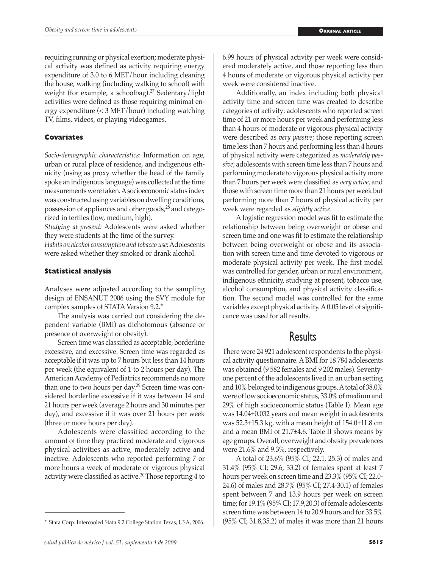requiring running or physical exertion; moderate physical activity was defined as activity requiring energy expenditure of 3.0 to 6 MET/hour including cleaning the house, walking (including walking to school) with weight (for example, a schoolbag).<sup>27</sup> Sedentary/light activities were defined as those requiring minimal energy expenditure (< 3 MET/hour) including watching TV, films, videos, or playing videogames.

## **Covariates**

*Socio-demographic characteristics*: Information on age, urban or rural place of residence, and indigenous ethnicity (using as proxy whether the head of the family spoke an indigenous language) was collected at the time measurements were taken. A socioeconomic status index was constructed using variables on dwelling conditions, possession of appliances and other goods,<sup>28</sup> and categorized in tertiles (low, medium, high).

*Studying at present:* Adolescents were asked whether they were students at the time of the survey.

*Habits on alcohol consumption and tobacco use*: Adolescents were asked whether they smoked or drank alcohol.

## **Statistical analysis**

Analyses were adjusted according to the sampling design of ENSANUT 2006 using the SVY module for complex samples of STATA Version 9.2.\*

The analysis was carried out considering the dependent variable (BMI) as dichotomous (absence or presence of overweight or obesity).

Screen time was classified as acceptable, borderline excessive, and excessive. Screen time was regarded as acceptable if it was up to 7 hours but less than 14 hours per week (the equivalent of 1 to 2 hours per day). The American Academy of Pediatrics recommends no more than one to two hours per day.29 Screen time was considered borderline excessive if it was between 14 and 21 hours per week (average 2 hours and 30 minutes per day), and excessive if it was over 21 hours per week (three or more hours per day).

Adolescents were classified according to the amount of time they practiced moderate and vigorous physical activities as active, moderately active and inactive. Adolescents who reported performing 7 or more hours a week of moderate or vigorous physical activity were classified as active.30 Those reporting 4 to

6.99 hours of physical activity per week were considered moderately active, and those reporting less than 4 hours of moderate or vigorous physical activity per week were considered inactive.

Additionally, an index including both physical activity time and screen time was created to describe categories of activity: adolescents who reported screen time of 21 or more hours per week and performing less than 4 hours of moderate or vigorous physical activity were described as *very passive*; those reporting screen time less than 7 hours and performing less than 4 hours of physical activity were categorized as *moderately passive*; adolescents with screen time less than 7 hours and performing moderate to vigorous physical activity more than 7 hours per week were classified as *very active*, and those with screen time more than 21 hours per week but performing more than 7 hours of physical activity per week were regarded as *slightly active*.

A logistic regression model was fit to estimate the relationship between being overweight or obese and screen time and one was fit to estimate the relationship between being overweight or obese and its association with screen time and time devoted to vigorous or moderate physical activity per week. The first model was controlled for gender, urban or rural environment, indigenous ethnicity, studying at present, tobacco use, alcohol consumption, and physical activity classification. The second model was controlled for the same variables except physical activity. A 0.05 level of significance was used for all results.

# Results

There were 24 921 adolescent respondents to the physical activity questionnaire. A BMI for 18 784 adolescents was obtained (9 582 females and 9 202 males). Seventyone percent of the adolescents lived in an urban setting and 10% belonged to indigenous groups. A total of 38.0% were of low socioeconomic status, 33.0% of medium and 29% of high socioeconomic status (Table I). Mean age was 14.04±0.032 years and mean weight in adolescents was 52.3±15.3 kg, with a mean height of 154.0±11.8 cm and a mean BMI of 21.7±4.6. Table II shows means by age groups. Overall, overweight and obesity prevalences were 21.6% and 9.3%, respectively.

A total of 23.6% (95% CI; 22.1, 25.3) of males and 31.4% (95% CI; 29.6, 33.2) of females spent at least 7 hours per week on screen time and 23.3% (95% CI; 22.0- 24.6) of males and 28.7% (95% CI; 27.4-30.1) of females spent between 7 and 13.9 hours per week on screen time; for 19.1% (95% CI; 17.9,20.3) of female adolescents screen time was between 14 to 20.9 hours and for 33.5% \* Stata Corp. Intercooled Stata 9.2 College Station Texas, USA, 2006. (95% CI; 31.8,35.2) of males it was more than 21 hours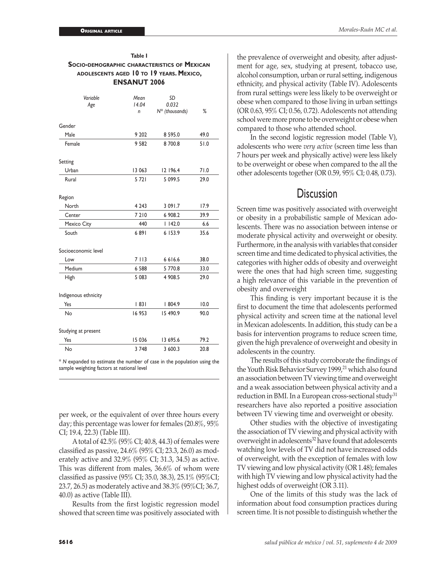| Table I<br><b>SOCIO-DEMOGRAPHIC CHARACTERISTICS OF MEXICAN</b><br>ADOLESCENTS AGED 10 TO 19 YEARS. MEXICO,<br><b>ENSANUT 2006</b> |                    |                                  |      |  |  |  |  |  |
|-----------------------------------------------------------------------------------------------------------------------------------|--------------------|----------------------------------|------|--|--|--|--|--|
| Variable<br>Age                                                                                                                   | Mean<br>14.04<br>n | SD<br>0.032<br>$N^*$ (thousands) | %    |  |  |  |  |  |
| Gender                                                                                                                            |                    |                                  |      |  |  |  |  |  |
| Male                                                                                                                              | 9 202              | 8 5 9 5.0                        | 49.0 |  |  |  |  |  |
| Female                                                                                                                            | 9 5 8 2            | 8700.8                           | 51.0 |  |  |  |  |  |
| Setting                                                                                                                           |                    |                                  |      |  |  |  |  |  |
| Urban                                                                                                                             | 13 063             | 12 196.4                         | 71.0 |  |  |  |  |  |
| Rural                                                                                                                             | 5721               | 5 099.5                          | 29.0 |  |  |  |  |  |
| Region                                                                                                                            |                    |                                  |      |  |  |  |  |  |
| North                                                                                                                             | 4 2 4 3            | 3 091.7                          | 17.9 |  |  |  |  |  |
| Center                                                                                                                            | 7 2 1 0            | 6 908.2                          | 39.9 |  |  |  |  |  |
| Mexico City                                                                                                                       | 440                | 1142.0                           | 6.6  |  |  |  |  |  |
| South                                                                                                                             | 6891               | 6 153.9                          | 35.6 |  |  |  |  |  |
| Socioeconomic level                                                                                                               |                    |                                  |      |  |  |  |  |  |
| l ow                                                                                                                              | 7 1 1 3            | 6616.6                           | 38.0 |  |  |  |  |  |
| Medium                                                                                                                            | 6 5 8 8            | 5 770.8                          | 33.0 |  |  |  |  |  |
| High                                                                                                                              | 5 0 8 3            | 4 908.5                          | 29.0 |  |  |  |  |  |
| Indigenous ethnicity                                                                                                              |                    |                                  |      |  |  |  |  |  |
| Yes                                                                                                                               | 83                 | 804.9                            | 10.0 |  |  |  |  |  |
| No                                                                                                                                | 16953              | 15 490.9                         | 90.0 |  |  |  |  |  |
| Studying at present                                                                                                               |                    |                                  |      |  |  |  |  |  |
| Yes                                                                                                                               | 15 03 6            | 13 695.6                         | 79.2 |  |  |  |  |  |

\* *N* expanded to estimate the number of case in the population using the sample weighting factors at national level

No 3 748 3 600.3 20.8

per week, or the equivalent of over three hours every day; this percentage was lower for females (20.8%, 95% CI; 19.4, 22.3) (Table III).

A total of 42.5% (95% CI; 40.8, 44.3) of females were classified as passive, 24.6% (95% CI; 23.3, 26.0) as moderately active and 32.9% (95% CI; 31.3, 34.5) as active. This was different from males, 36.6% of whom were classified as passive (95% CI; 35.0, 38.3), 25.1% (95%CI; 23.7, 26.5) as moderately active and 38.3% (95%CI; 36.7, 40.0) as active (Table III).

Results from the first logistic regression model showed that screen time was positively associated with

the prevalence of overweight and obesity, after adjustment for age, sex, studying at present, tobacco use, alcohol consumption, urban or rural setting, indigenous ethnicity, and physical activity (Table IV). Adolescents from rural settings were less likely to be overweight or obese when compared to those living in urban settings (OR 0.63, 95% CI; 0.56, 0.72). Adolescents not attending school were more prone to be overweight or obese when compared to those who attended school.

In the second logistic regression model (Table V), adolescents who were *very active* (screen time less than 7 hours per week and physically active) were less likely to be overweight or obese when compared to the all the other adolescents together (OR 0.59, 95% CI; 0.48, 0.73).

# **Discussion**

Screen time was positively associated with overweight or obesity in a probabilistic sample of Mexican adolescents. There was no association between intense or moderate physical activity and overweight or obesity. Furthermore, in the analysis with variables that consider screen time and time dedicated to physical activities, the categories with higher odds of obesity and overweight were the ones that had high screen time, suggesting a high relevance of this variable in the prevention of obesity and overweight

This finding is very important because it is the first to document the time that adolescents performed physical activity and screen time at the national level in Mexican adolescents. In addition, this study can be a basis for intervention programs to reduce screen time, given the high prevalence of overweight and obesity in adolescents in the country.

The results of this study corroborate the findings of the Youth Risk Behavior Survey 1999,<sup>21</sup> which also found an association between TV viewing time and overweight and a weak association between physical activity and a reduction in BMI. In a European cross-sectional study<sup>31</sup> researchers have also reported a positive association between TV viewing time and overweight or obesity.

Other studies with the objective of investigating the association of TV viewing and physical activity with overweight in adolescents<sup>32</sup> have found that adolescents watching low levels of TV did not have increased odds of overweight, with the exception of females with low TV viewing and low physical activity (OR 1.48); females with high TV viewing and low physical activity had the highest odds of overweight (OR 3.11).

One of the limits of this study was the lack of information about food consumption practices during screen time. It is not possible to distinguish whether the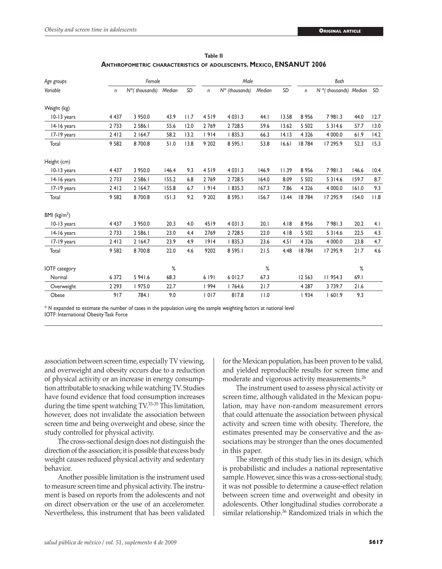| Age groups              |         | Female            |        |      | Male    |                   |        | Both  |         |                             |       |      |
|-------------------------|---------|-------------------|--------|------|---------|-------------------|--------|-------|---------|-----------------------------|-------|------|
| Variable                | n       | $N^*$ (thousands) | Median | SD   | n       | $N^*$ (thousands) | Median | SD    | n       | $N^*$ (thousands) Median SD |       |      |
| Weight (kg)             |         |                   |        |      |         |                   |        |       |         |                             |       |      |
| 10-13 years             | 4 4 3 7 | 3 950.0           | 43.9   | 11.7 | 4519    | 4 0 3 1 .3        | 44.I   | 13.58 | 8956    | 7981.3                      | 44.0  | 12.7 |
| 14-16 years             | 2733    | 2 586.1           | 55.6   | 12.0 | 2769    | 2 7 28.5          | 59.6   | 13.62 | 5 5 0 2 | 5 3 1 4.6                   | 57.7  | 13.0 |
| 17-19 years             | 2412    | 2 164.7           | 58.2   | 13.2 | 1914    | 835.3             | 66.3   | 14.13 | 4 3 2 6 | 4 000.0                     | 61.9  | 14.2 |
| Total                   | 9 5 8 2 | 8700.8            | 51.0   | 13.8 | 9 2 0 2 | 8 5 9 5.1         | 53.8   | 16.61 | 18784   | 17 295.9                    | 52.3  | 15.3 |
| Height (cm)             |         |                   |        |      |         |                   |        |       |         |                             |       |      |
| 10-13 years             | 4 4 3 7 | 3 950.0           | 146.4  | 9.3  | 4519    | 4 0 3 1 .3        | 146.9  | 11.39 | 8956    | 7981.3                      | 146.6 | 10.4 |
| 14-16 years             | 2733    | 2 586.1           | 155.2  | 6.8  | 2769    | 2 7 28.5          | 164.0  | 8.09  | 5 5 0 2 | 5 3 1 4.6                   | 159.7 | 8.7  |
| 17-19 years             | 2412    | 2 164.7           | 155.8  | 6.7  | 1914    | 1835.3            | 167.3  | 7.86  | 4 3 2 6 | 4 000.0                     | 161.0 | 9.3  |
| Total                   | 9 5 8 2 | 8700.8            | 151.3  | 9.2  | 9 2 0 2 | 8 5 9 5.1         | 156.7  | 13.44 | 18784   | 17 295.9                    | 154.0 | 11.8 |
| BMI ( $\text{kg/m}^2$ ) |         |                   |        |      |         |                   |        |       |         |                             |       |      |
| 10-13 years             | 4 4 3 7 | 3 950.0           | 20.3   | 4.0  | 4519    | 4 0 3 1 .3        | 20.1   | 4.18  | 8956    | 7981.3                      | 20.2  | 4.1  |
| 14-16 years             | 2733    | 2 586.1           | 23.0   | 4.4  | 2769    | 2 7 28.5          | 22.0   | 4.18  | 5 5 0 2 | 5 3 1 4.6                   | 22.5  | 4.3  |
| 17-19 years             | 2412    | 2 164.7           | 23.9   | 4.9  | 1914    | 835.3             | 23.6   | 4.51  | 4 3 2 6 | 4 000.0                     | 23.8  | 4.7  |
| Total                   | 9582    | 8700.8            | 22.0   | 4.6  | 9202    | 8 5 9 5.1         | 21.5   | 4.48  | 18784   | 17 295.9                    | 21.7  | 4.6  |
| <b>IOTF</b> category    |         |                   | $\%$   |      |         |                   | %      |       |         |                             | %     |      |
| Normal                  | 6 3 7 2 | 5 941.6           | 68.3   |      | 6 191   | 6 0 1 2.7         | 67.3   |       | 12 5 63 | 11954.3                     | 69.1  |      |
| Overweight              | 2 2 9 3 | 975.0             | 22.7   |      | 994     | 1764.6            | 21.7   |       | 4 2 8 7 | 3739.7                      | 21.6  |      |
| Obese                   | 917     | 784.1             | 9.0    |      | 1017    | 817.8             | 11.0   |       | 934     | 601.9                       | 9.3   |      |

**Table II Anthropometric characteristics of adolescents. Mexico, ENSANUT 2006**

\* *N* expanded to estimate the number of cases in the population using the sample weighting factors at national level IOTF: International Obesity Task Force

association between screen time, especially TV viewing, and overweight and obesity occurs due to a reduction of physical activity or an increase in energy consumption attributable to snacking while watching TV. Studies have found evidence that food consumption increases during the time spent watching TV.33-35 This limitation, however, does not invalidate the association between screen time and being overweight and obese, since the study controlled for physical activity.

The cross-sectional design does not distinguish the direction of the association; it is possible that excess body weight causes reduced physical activity and sedentary behavior.

Another possible limitation is the instrument used to measure screen time and physical activity. The instrument is based on reports from the adolescents and not on direct observation or the use of an accelerometer. Nevertheless, this instrument that has been validated

for the Mexican population, has been proven to be valid, and yielded reproducible results for screen time and moderate and vigorous activity measurements.<sup>26</sup>

The instrument used to assess physical activity or screen time, although validated in the Mexican population, may have non-random measurement errors that could attenuate the association between physical activity and screen time with obesity. Therefore, the estimates presented may be conservative and the associations may be stronger than the ones documented in this paper.

The strength of this study lies in its design, which is probabilistic and includes a national representative sample. However, since this was a cross-sectional study, it was not possible to determine a cause-effect relation between screen time and overweight and obesity in adolescents. Other longitudinal studies corroborate a similar relationship.<sup>36</sup> Randomized trials in which the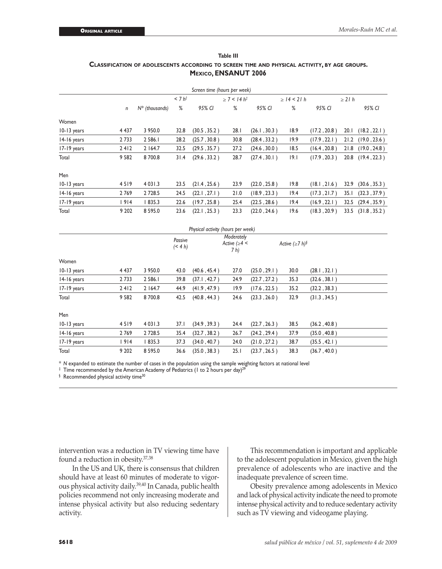| Table III                                                                                    |  |  |  |  |  |  |
|----------------------------------------------------------------------------------------------|--|--|--|--|--|--|
| CLASSIFICATION OF ADOLESCENTS ACCORDING TO SCREEN TIME AND PHYSICAL ACTIVITY, BY AGE GROUPS. |  |  |  |  |  |  |
| MEXICO, ENSANUT 2006                                                                         |  |  |  |  |  |  |

|             |                  |                   |                    | Screen time (hours per week)       |                                             |              |                         |              |             |              |
|-------------|------------------|-------------------|--------------------|------------------------------------|---------------------------------------------|--------------|-------------------------|--------------|-------------|--------------|
|             |                  |                   | $< 7 h^{\ddagger}$ |                                    | $\geq$ 7 < 14 h <sup>‡</sup>                |              | $\geq$ 14 < 21 h        |              | $\geq$ 21 h |              |
|             | $\boldsymbol{n}$ | $N^*$ (thousands) | %                  | 95% CI                             | %                                           | 95% CI       | %                       | 95% CI       |             | 95% CI       |
| Women       |                  |                   |                    |                                    |                                             |              |                         |              |             |              |
| 10-13 years | 4 4 3 7          | 3 950.0           | 32.8               | (30.5, 35.2)                       | 28.1                                        | (26.1, 30.3) | 18.9                    | (17.2, 20.8) | 20.1        | (18.2, 22.1) |
| 14-16 years | 2 7 3 3          | 2 586.1           | 28.2               | (25.7, 30.8)                       | 30.8                                        | (28.4, 33.2) | 19.9                    | (17.9, 22.1) | 21.2        | (19.0, 23.6) |
| 17-19 years | 2412             | 2 164.7           | 32.5               | (29.5, 35.7)                       | 27.2                                        | (24.6, 30.0) | 18.5                    | (16.4, 20.8) | 21.8        | (19.0, 24.8) |
| Total       | 9 5 8 2          | 8700.8            | 31.4               | (29.6, 33.2)                       | 28.7                                        | (27.4, 30.1) | 9.1                     | (17.9, 20.3) | 20.8        | (19.4, 22.3) |
| Men         |                  |                   |                    |                                    |                                             |              |                         |              |             |              |
| 10-13 years | 4519             | 4 0 3 1 . 3       | 23.5               | (21.4, 25.6)                       | 23.9                                        | (22.0, 25.8) | 19.8                    | (18.1, 21.6) | 32.9        | (30.6, 35.3) |
| 14-16 years | 2769             | 2 7 28.5          | 24.5               | (22.1, 27.1)                       | 21.0                                        | (18.9, 23.3) | 19.4                    | (17.3, 21.7) | 35.1        | (32.3, 37.9) |
| 17-19 years | 1914             | 1835.3            | 22.6               | (19.7, 25.8)                       | 25.4                                        | (22.5, 28.6) | 19.4                    | (16.9, 22.1) | 32.5        | (29.4, 35.9) |
| Total       | 9 2 0 2          | 8 5 9 5.0         | 23.6               | (22.1, 25.3)                       | 23.3                                        | (22.0, 24.6) | 19.6                    | (18.3, 20.9) | 33.5        | (31.8, 35.2) |
|             |                  |                   |                    | Physical activity (hours per week) |                                             |              |                         |              |             |              |
|             |                  |                   | Passive<br>(< 4 h) |                                    | Moderately<br>Active ( $\geq 4$ <<br>$7h$ ) |              | Active $(\geq 7 h)^{5}$ |              |             |              |
| Women       |                  |                   |                    |                                    |                                             |              |                         |              |             |              |
| 10-13 years | 4 4 3 7          | 3 950.0           | 43.0               | (40.6, 45.4)                       | 27.0                                        | (25.0, 29.1) | 30.0                    | (28.1, 32.1) |             |              |
| 14-16 years | 2 7 3 3          | 2 586.1           | 39.8               | (37.1, 42.7)                       | 24.9                                        | (22.7, 27.2) | 35.3                    | (32.6, 38.1) |             |              |
| 17-19 years | 2412             | 2 164.7           | 44.9               | (41.9, 47.9)                       | 19.9                                        | (17.6, 22.5) | 35.2                    | (32.2, 38.3) |             |              |
| Total       | 9 5 8 2          | 8700.8            | 42.5               | (40.8, 44.3)                       | 24.6                                        | (23.3, 26.0) | 32.9                    | (31.3, 34.5) |             |              |
| Men         |                  |                   |                    |                                    |                                             |              |                         |              |             |              |
| 10-13 years | 4519             | 4 0 3 1 .3        | 37.1               | (34.9, 39.3)                       | 24.4                                        | (22.7, 26.3) | 38.5                    | (36.2, 40.8) |             |              |
| 14-16 years | 2769             | 2 7 28.5          | 35.4               | (32.7, 38.2)                       | 26.7                                        | (24.2, 29.4) | 37.9                    | (35.0, 40.8) |             |              |
| 17-19 years | 1914             | 1835.3            | 37.3               | (34.0, 40.7)                       | 24.0                                        | (21.0, 27.2) | 38.7                    | (35.5, 42.1) |             |              |
| Total       | 9 202            | 8 5 9 5 .0        | 36.6               | (35.0, 38.3)                       | 25.1                                        | (23.7, 26.5) | 38.3                    | (36.7, 40.0) |             |              |

\* *N* expanded to estimate the number of cases in the population using the sample weighting factors at national level

 $\pm$  Time recommended by the American Academy of Pediatrics (1 to 2 hours per day)<sup>29</sup>

 $§$  Recommended physical activity time<sup>30</sup>

intervention was a reduction in TV viewing time have found a reduction in obesity.37,38

In the US and UK, there is consensus that children should have at least 60 minutes of moderate to vigorous physical activity daily.39,40 In Canada, public health policies recommend not only increasing moderate and intense physical activity but also reducing sedentary activity.

This recommendation is important and applicable to the adolescent population in Mexico, given the high prevalence of adolescents who are inactive and the inadequate prevalence of screen time.

Obesity prevalence among adolescents in Mexico and lack of physical activity indicate the need to promote intense physical activity and to reduce sedentary activity such as TV viewing and videogame playing.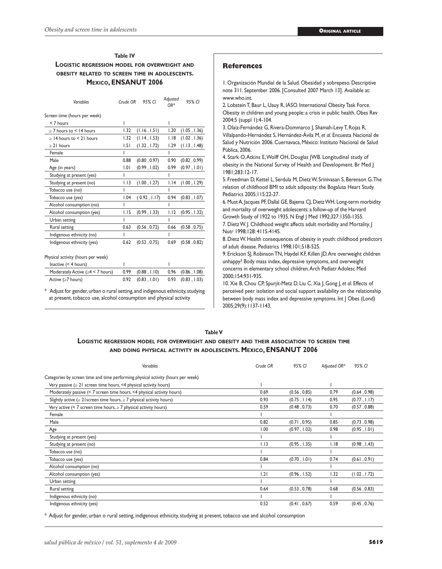## **Table IV Logistic regression model for overweight and obesity related to screen time in adolescents. Mexico, ENSANUT 2006**

| Variables                               | Crude OR | 95% CI       | Adjusted<br>OR* | 95% CI       |
|-----------------------------------------|----------|--------------|-----------------|--------------|
| Screen time (hours per week)            |          |              |                 |              |
| < 7 hours                               | ı        |              | ı               |              |
| $\geq$ 7 hours to $\leq$ 14 hours       | 1.32     | (1.16, 1.51) | 1.20            | (1.05, 1.36) |
| $\geq$ 14 hours to < 21 hours           | 1.32     | (1.14, 1.53) | 1.18            | (1.02, 1.36) |
| $\geq$ 21 hours                         | 1.51     | (1.32, 1.72) | 1.29            | (1.13, 1.48) |
| Female                                  | ı        |              | ı               |              |
| Male                                    | 0.88     | (0.80, 0.97) | 0.90            | (0.82, 0.99) |
| Age (in years)                          | 1.01     | (0.99, 1.02) | 0.99            | (0.97, 1.01) |
| Studying at present (yes)               |          |              |                 |              |
| Studying at present (no)                | 1.13     | (1.00, 1.27) | 1.14            | (1.00, 1.29) |
| Tobacco use (no)                        |          |              |                 |              |
| Tobacco use (yes)                       | 1.04     | (0.92, 1.17) | 0.94            | (0.83, 1.07) |
| Alcohol consumption (no)                |          |              | ı               |              |
| Alcohol consumption (yes)               | 1.15     | (0.99, 1.33) | 1.12            | (0.95, 1.32) |
| Urban setting                           | ı        |              | ı               |              |
| Rural setting                           | 0.63     | (0.56, 0.72) | 0.66            | (0.58, 0.75) |
| Indigenous ethnicity (no)               | ı        |              | ı               |              |
| Indigenous ethnicity (yes)              | 0.62     | (0.52, 0.75) | 0.69            | (0.58, 0.82) |
|                                         |          |              |                 |              |
| Physical activity (hours per week)      |          |              |                 |              |
| Inactive $($ 4 hours)                   | ı        |              | ı               |              |
| Moderately Active ( $\geq 4$ < 7 hours) | 0.99     | (0.88, 1.10) | 0.96            | (0.86, 1.08) |

 Active (≥7 hours) 0.92 (0.83 , 1.01) 0.93 (0.83 , 1.03) \* Adjust for gender, urban o rural setting, and indigenous ethnicity, studying

at present, tobacco use, alcohol consumption and physical activity

#### **References**

1. Organización Mundial de la Salud. Obesidad y sobrepeso. Descriptive note 311. September 2006. [Consulted 2007 March 13]. Available at: www.who.int.

2. Lobstein T, Baur L, Uauy R, IASO. International Obesity Task Force. Obesity in children and young people: a crisis in public health. Obes Rev 2004;5 (suppl 1):4-104.

3. Olaiz-Fernández G, Rivera-Dommarco J, Shamah-Levy T, Rojas R, Villalpando-Hernández S, Hernández-Ávila M, *et al*. Encuesta Nacional de Salud y Nutrición 2006. Cuernavaca, México: Instituto Nacional de Salud Pública, 2006.

4. Stark O, Atkins E, Wolff OH, Douglas JWB. Longitudinal study of obesity in the National Survey of Health and Development. Br Med J 1981;283:12-17.

5. Freedman D, Kettel L, Serdula M, Dietz W, Srinivasan S, Berenson G. The relation of childhood BMI to adult adiposity: the Bogalusa Heart Study. Pediatrics 2005;115:22-27.

6. Must A, Jacques PF, Dallal GE, Bajema CJ, Dietz WH. Long-term morbidity and mortality of overweight adolescents: a follow-up of the Harvard Growth Study of 1922 to 1935. N Engl J Med 1992;327:1350-1355.

7. Dietz W. J. Childhood weight affects adult morbidity and Mortality. J Nutr 1998;128: 411S-414S.

8. Dietz W. Health consequences of obesity in youth: childhood predictors of adult disease. Pediatrics 1998;101;518-525.

9. Erickson SJ, Robinson TN, Haydel KF, Killen JD. Are overweight children unhappy? Body mass index, depressive symptoms, and overweight concerns in elementary school children. Arch Pediatr Adolesc Med 2000;154:931-935.

10. Xie B, Chou CP, Spurjit-Metz D, Liu C, Xia J, Gong J, *et al*. Effects of perceived peer isolation and social support availability on the relationship between body mass index and depressive symptoms. Int J Obes (Lond) 2005;29(9):1137-1143.

#### **Table V**

# **Logistic regression model for overweight and obesity and their association to screen time and doing physical activity in adolescents. Mexico, ENSANUT 2006**

| Variables                                                                         | Crude OR | 95% CI       | Adjusted OR* | 95% CI       |
|-----------------------------------------------------------------------------------|----------|--------------|--------------|--------------|
| Categories by screen time and time performing physical activity (hours per week)  |          |              |              |              |
| Very passive ( $\geq 21$ screen time hours, <4 physical activity hours)           |          |              |              |              |
| Moderately passive (< 7 screen time hours, <4 physical activity hours)            | 0.69     | (0.56, 0.85) | 0.79         | (0.64, 0.98) |
| Slightly active ( $\geq 2$ I screen time hours, $\geq 7$ physical activity hours) | 0.93     | (0.75, 1.14) | 0.95         | (0.77, 1.17) |
| Very active (< 7 screen time hours, $\geq$ 7 physical activity hours)             | 0.59     | (0.48, 0.73) | 0.70         | (0.57, 0.88) |
| Female                                                                            |          |              |              |              |
| Male                                                                              | 0.82     | (0.71, 0.95) | 0.85         | (0.73, 0.98) |
| Age                                                                               | 1.00     | (0.97, 1.02) | 0.98         | (0.95, 1.01) |
| Studying at present (yes)                                                         |          |              |              |              |
| Studying at present (no)                                                          | 1.13     | (0.95, 1.35) | 1.18         | (0.98, 1.43) |
| Tobacco use (no)                                                                  |          |              |              |              |
| Tobacco use (yes)                                                                 | 0.84     | (0.70, 1.01) | 0.74         | (0.61, 0.91) |
| Alcohol consumption (no)                                                          |          |              |              |              |
| Alcohol consumption (yes)                                                         | 1.21     | (0.96, 1.52) | 1.32         | (1.02, 1.72) |
| Urban setting                                                                     |          |              |              |              |
| Rural setting                                                                     | 0.64     | (0.53, 0.78) | 0.68         | (0.56, 0.83) |
| Indigenous ethnicity (no)                                                         |          |              |              |              |
| Indigenous ethnicity (yes)                                                        | 0.52     | (0.41, 0.67) | 0.59         | (0.45, 0.76) |

\* Adjust for gender, urban o rural setting, indigenous ethnicity, studying at present, tobacco use and alcohol consumption